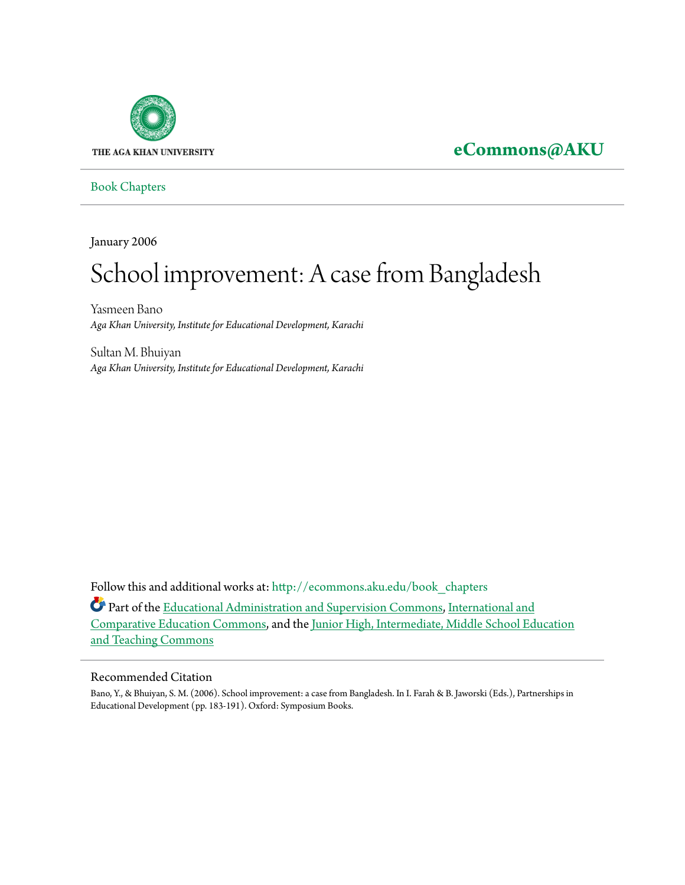

## **[eCommons@AKU](http://ecommons.aku.edu?utm_source=ecommons.aku.edu%2Fbook_chapters%2F17&utm_medium=PDF&utm_campaign=PDFCoverPages)**

[Book Chapters](http://ecommons.aku.edu/book_chapters?utm_source=ecommons.aku.edu%2Fbook_chapters%2F17&utm_medium=PDF&utm_campaign=PDFCoverPages)

January 2006

# School improvement: A case from Bangladesh

Yasmeen Bano *Aga Khan University, Institute for Educational Development, Karachi*

Sultan M. Bhuiyan *Aga Khan University, Institute for Educational Development, Karachi*

Follow this and additional works at: [http://ecommons.aku.edu/book\\_chapters](http://ecommons.aku.edu/book_chapters?utm_source=ecommons.aku.edu%2Fbook_chapters%2F17&utm_medium=PDF&utm_campaign=PDFCoverPages)

Part of the [Educational Administration and Supervision Commons,](http://network.bepress.com/hgg/discipline/787?utm_source=ecommons.aku.edu%2Fbook_chapters%2F17&utm_medium=PDF&utm_campaign=PDFCoverPages) [International and](http://network.bepress.com/hgg/discipline/797?utm_source=ecommons.aku.edu%2Fbook_chapters%2F17&utm_medium=PDF&utm_campaign=PDFCoverPages) [Comparative Education Commons](http://network.bepress.com/hgg/discipline/797?utm_source=ecommons.aku.edu%2Fbook_chapters%2F17&utm_medium=PDF&utm_campaign=PDFCoverPages), and the [Junior High, Intermediate, Middle School Education](http://network.bepress.com/hgg/discipline/807?utm_source=ecommons.aku.edu%2Fbook_chapters%2F17&utm_medium=PDF&utm_campaign=PDFCoverPages) [and Teaching Commons](http://network.bepress.com/hgg/discipline/807?utm_source=ecommons.aku.edu%2Fbook_chapters%2F17&utm_medium=PDF&utm_campaign=PDFCoverPages)

### Recommended Citation

Bano, Y., & Bhuiyan, S. M. (2006). School improvement: a case from Bangladesh. In I. Farah & B. Jaworski (Eds.), Partnerships in Educational Development (pp. 183-191). Oxford: Symposium Books.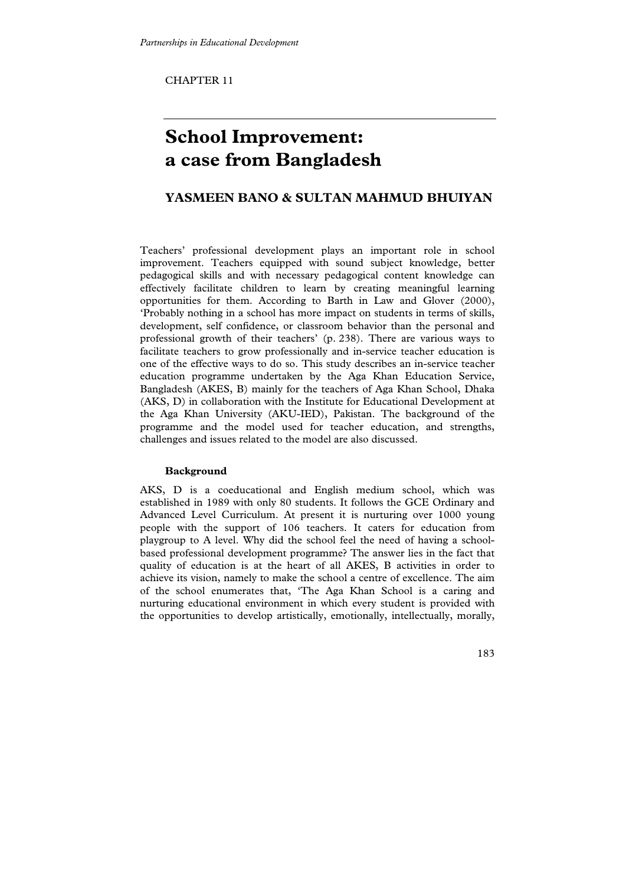CHAPTER 11

# **School Improvement: a case from Bangladesh**

## **YASMEEN BANO & SULTAN MAHMUD BHUIYAN**

Teachers' professional development plays an important role in school improvement. Teachers equipped with sound subject knowledge, better pedagogical skills and with necessary pedagogical content knowledge can effectively facilitate children to learn by creating meaningful learning opportunities for them. According to Barth in Law and Glover (2000), 'Probably nothing in a school has more impact on students in terms of skills, development, self confidence, or classroom behavior than the personal and professional growth of their teachers' (p. 238). There are various ways to facilitate teachers to grow professionally and in-service teacher education is one of the effective ways to do so. This study describes an in-service teacher education programme undertaken by the Aga Khan Education Service, Bangladesh (AKES, B) mainly for the teachers of Aga Khan School, Dhaka (AKS, D) in collaboration with the Institute for Educational Development at the Aga Khan University (AKU-IED), Pakistan. The background of the programme and the model used for teacher education, and strengths, challenges and issues related to the model are also discussed.

#### **Background**

AKS, D is a coeducational and English medium school, which was established in 1989 with only 80 students. It follows the GCE Ordinary and Advanced Level Curriculum. At present it is nurturing over 1000 young people with the support of 106 teachers. It caters for education from playgroup to A level. Why did the school feel the need of having a schoolbased professional development programme? The answer lies in the fact that quality of education is at the heart of all AKES, B activities in order to achieve its vision, namely to make the school a centre of excellence. The aim of the school enumerates that, 'The Aga Khan School is a caring and nurturing educational environment in which every student is provided with the opportunities to develop artistically, emotionally, intellectually, morally,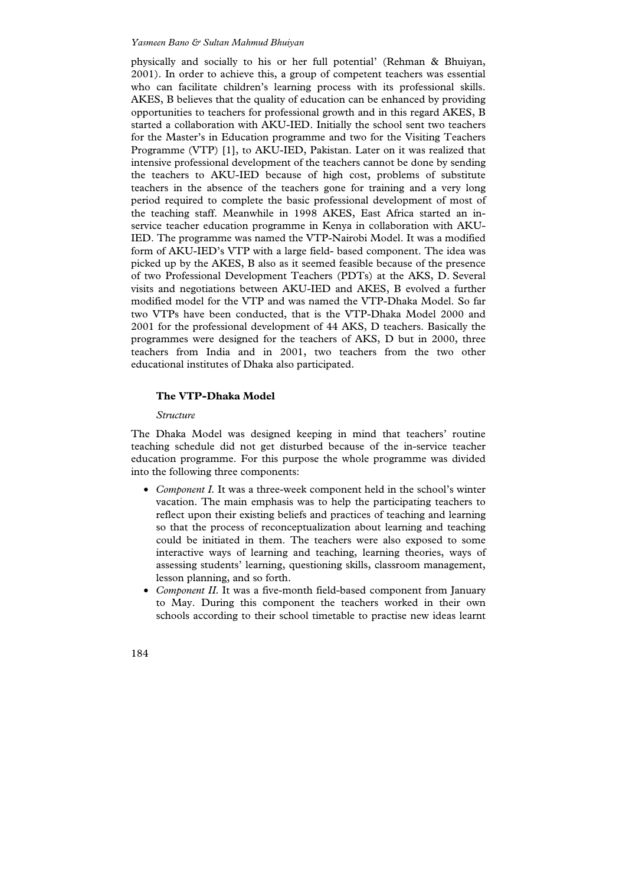physically and socially to his or her full potential' (Rehman & Bhuiyan, 2001). In order to achieve this, a group of competent teachers was essential who can facilitate children's learning process with its professional skills. AKES, B believes that the quality of education can be enhanced by providing opportunities to teachers for professional growth and in this regard AKES, B started a collaboration with AKU-IED. Initially the school sent two teachers for the Master's in Education programme and two for the Visiting Teachers Programme (VTP) [1], to AKU-IED, Pakistan. Later on it was realized that intensive professional development of the teachers cannot be done by sending the teachers to AKU-IED because of high cost, problems of substitute teachers in the absence of the teachers gone for training and a very long period required to complete the basic professional development of most of the teaching staff. Meanwhile in 1998 AKES, East Africa started an inservice teacher education programme in Kenya in collaboration with AKU-IED. The programme was named the VTP-Nairobi Model. It was a modified form of AKU-IED's VTP with a large field- based component. The idea was picked up by the AKES, B also as it seemed feasible because of the presence of two Professional Development Teachers (PDTs) at the AKS, D. Several visits and negotiations between AKU-IED and AKES, B evolved a further modified model for the VTP and was named the VTP-Dhaka Model. So far two VTPs have been conducted, that is the VTP-Dhaka Model 2000 and 2001 for the professional development of 44 AKS, D teachers. Basically the programmes were designed for the teachers of AKS, D but in 2000, three teachers from India and in 2001, two teachers from the two other educational institutes of Dhaka also participated.

#### **The VTP-Dhaka Model**

#### *Structure*

The Dhaka Model was designed keeping in mind that teachers' routine teaching schedule did not get disturbed because of the in-service teacher education programme. For this purpose the whole programme was divided into the following three components:

- *Component I.* It was a three-week component held in the school's winter vacation. The main emphasis was to help the participating teachers to reflect upon their existing beliefs and practices of teaching and learning so that the process of reconceptualization about learning and teaching could be initiated in them. The teachers were also exposed to some interactive ways of learning and teaching, learning theories, ways of assessing students' learning, questioning skills, classroom management, lesson planning, and so forth.
- *Component II.* It was a five-month field-based component from January to May. During this component the teachers worked in their own schools according to their school timetable to practise new ideas learnt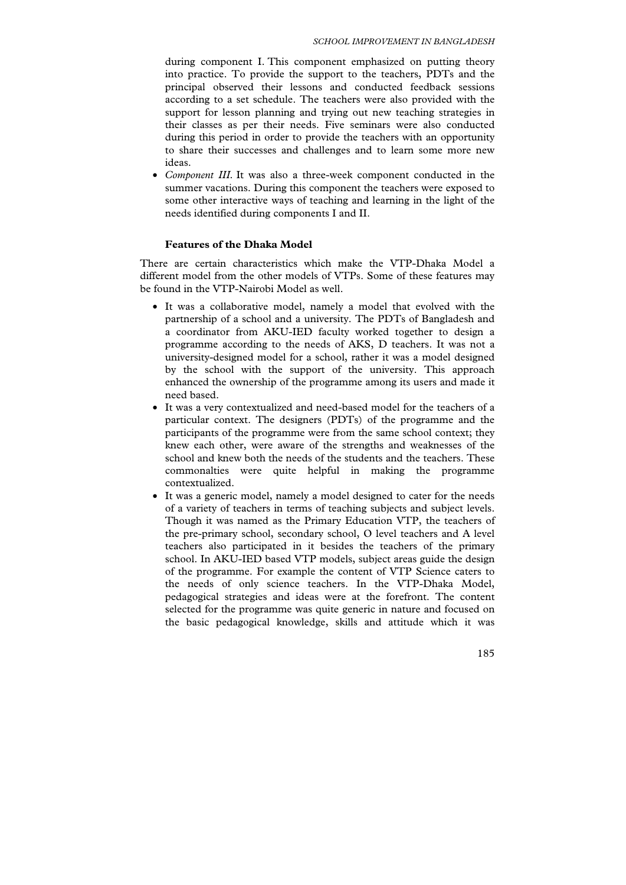during component I. This component emphasized on putting theory into practice. To provide the support to the teachers, PDTs and the principal observed their lessons and conducted feedback sessions according to a set schedule. The teachers were also provided with the support for lesson planning and trying out new teaching strategies in their classes as per their needs. Five seminars were also conducted during this period in order to provide the teachers with an opportunity to share their successes and challenges and to learn some more new ideas.

• *Component III.* It was also a three-week component conducted in the summer vacations. During this component the teachers were exposed to some other interactive ways of teaching and learning in the light of the needs identified during components I and II.

#### **Features of the Dhaka Model**

There are certain characteristics which make the VTP-Dhaka Model a different model from the other models of VTPs. Some of these features may be found in the VTP-Nairobi Model as well.

- It was a collaborative model, namely a model that evolved with the partnership of a school and a university. The PDTs of Bangladesh and a coordinator from AKU-IED faculty worked together to design a programme according to the needs of AKS, D teachers. It was not a university-designed model for a school, rather it was a model designed by the school with the support of the university. This approach enhanced the ownership of the programme among its users and made it need based.
- It was a very contextualized and need-based model for the teachers of a particular context. The designers (PDTs) of the programme and the participants of the programme were from the same school context; they knew each other, were aware of the strengths and weaknesses of the school and knew both the needs of the students and the teachers. These commonalties were quite helpful in making the programme contextualized.
- It was a generic model, namely a model designed to cater for the needs of a variety of teachers in terms of teaching subjects and subject levels. Though it was named as the Primary Education VTP, the teachers of the pre-primary school, secondary school, O level teachers and A level teachers also participated in it besides the teachers of the primary school. In AKU-IED based VTP models, subject areas guide the design of the programme. For example the content of VTP Science caters to the needs of only science teachers. In the VTP-Dhaka Model, pedagogical strategies and ideas were at the forefront. The content selected for the programme was quite generic in nature and focused on the basic pedagogical knowledge, skills and attitude which it was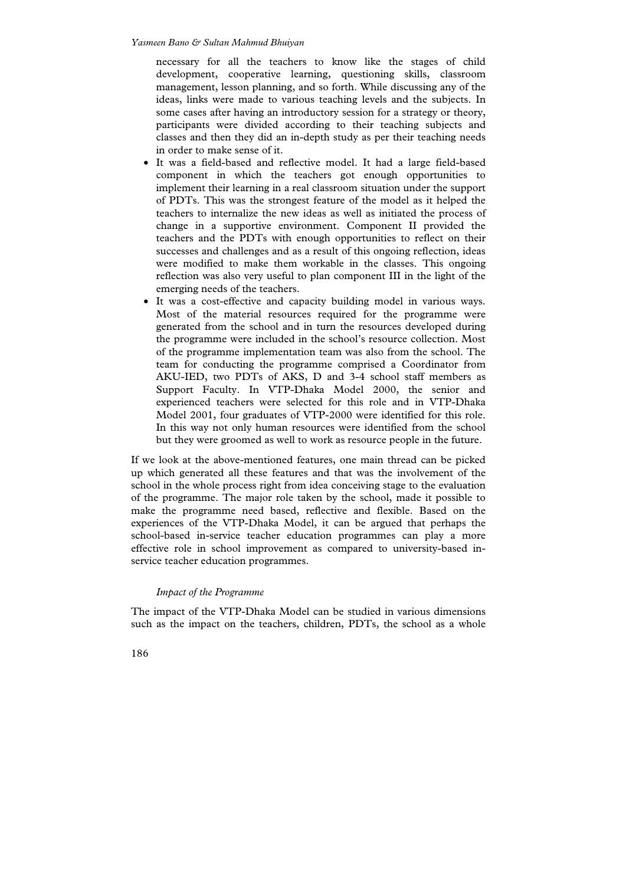necessary for all the teachers to know like the stages of child development, cooperative learning, questioning skills, classroom management, lesson planning, and so forth. While discussing any of the ideas, links were made to various teaching levels and the subjects. In some cases after having an introductory session for a strategy or theory, participants were divided according to their teaching subjects and classes and then they did an in-depth study as per their teaching needs in order to make sense of it.

- It was a field-based and reflective model. It had a large field-based component in which the teachers got enough opportunities to implement their learning in a real classroom situation under the support of PDTs. This was the strongest feature of the model as it helped the teachers to internalize the new ideas as well as initiated the process of change in a supportive environment. Component II provided the teachers and the PDTs with enough opportunities to reflect on their successes and challenges and as a result of this ongoing reflection, ideas were modified to make them workable in the classes. This ongoing reflection was also very useful to plan component III in the light of the emerging needs of the teachers.
- It was a cost-effective and capacity building model in various ways. Most of the material resources required for the programme were generated from the school and in turn the resources developed during the programme were included in the school's resource collection. Most of the programme implementation team was also from the school. The team for conducting the programme comprised a Coordinator from AKU-IED, two PDTs of AKS, D and 3-4 school staff members as Support Faculty. In VTP-Dhaka Model 2000, the senior and experienced teachers were selected for this role and in VTP-Dhaka Model 2001, four graduates of VTP-2000 were identified for this role. In this way not only human resources were identified from the school but they were groomed as well to work as resource people in the future.

If we look at the above-mentioned features, one main thread can be picked up which generated all these features and that was the involvement of the school in the whole process right from idea conceiving stage to the evaluation of the programme. The major role taken by the school, made it possible to make the programme need based, reflective and flexible. Based on the experiences of the VTP-Dhaka Model, it can be argued that perhaps the school-based in-service teacher education programmes can play a more effective role in school improvement as compared to university-based inservice teacher education programmes.

#### *Impact of the Programme*

The impact of the VTP-Dhaka Model can be studied in various dimensions such as the impact on the teachers, children, PDTs, the school as a whole

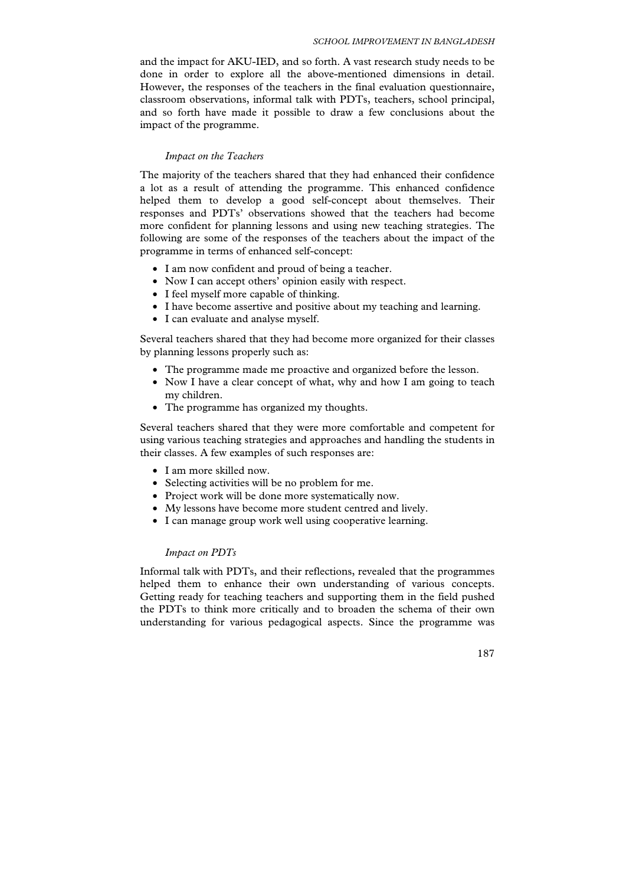and the impact for AKU-IED, and so forth. A vast research study needs to be done in order to explore all the above-mentioned dimensions in detail. However, the responses of the teachers in the final evaluation questionnaire, classroom observations, informal talk with PDTs, teachers, school principal, and so forth have made it possible to draw a few conclusions about the impact of the programme.

#### *Impact on the Teachers*

The majority of the teachers shared that they had enhanced their confidence a lot as a result of attending the programme. This enhanced confidence helped them to develop a good self-concept about themselves. Their responses and PDTs' observations showed that the teachers had become more confident for planning lessons and using new teaching strategies. The following are some of the responses of the teachers about the impact of the programme in terms of enhanced self-concept:

- I am now confident and proud of being a teacher.
- Now I can accept others' opinion easily with respect.
- I feel myself more capable of thinking.
- I have become assertive and positive about my teaching and learning.
- I can evaluate and analyse myself.

Several teachers shared that they had become more organized for their classes by planning lessons properly such as:

- The programme made me proactive and organized before the lesson.
- Now I have a clear concept of what, why and how I am going to teach my children.
- The programme has organized my thoughts.

Several teachers shared that they were more comfortable and competent for using various teaching strategies and approaches and handling the students in their classes. A few examples of such responses are:

- I am more skilled now.
- Selecting activities will be no problem for me.
- Project work will be done more systematically now.
- My lessons have become more student centred and lively.
- I can manage group work well using cooperative learning.

#### *Impact on PDTs*

Informal talk with PDTs, and their reflections, revealed that the programmes helped them to enhance their own understanding of various concepts. Getting ready for teaching teachers and supporting them in the field pushed the PDTs to think more critically and to broaden the schema of their own understanding for various pedagogical aspects. Since the programme was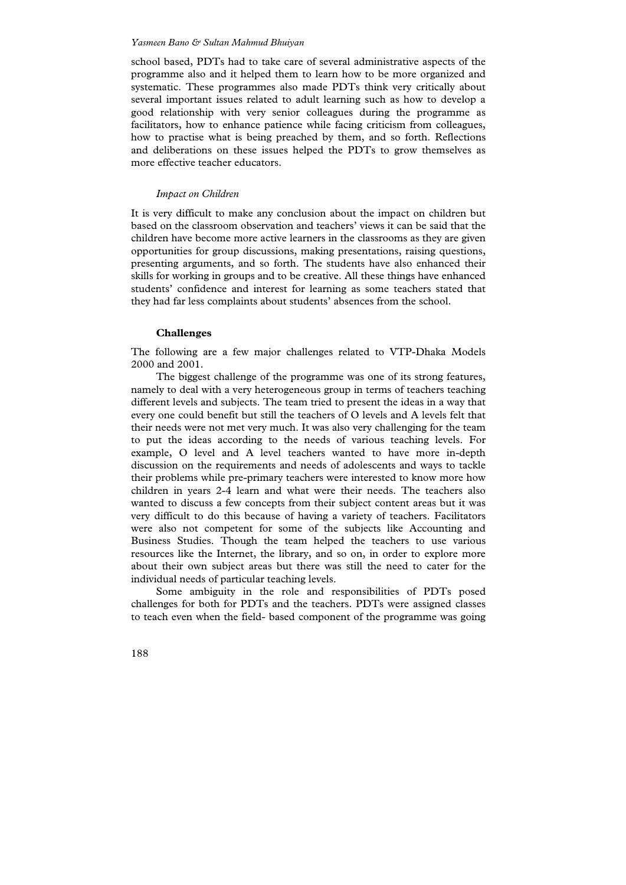school based, PDTs had to take care of several administrative aspects of the programme also and it helped them to learn how to be more organized and systematic. These programmes also made PDTs think very critically about several important issues related to adult learning such as how to develop a good relationship with very senior colleagues during the programme as facilitators, how to enhance patience while facing criticism from colleagues, how to practise what is being preached by them, and so forth. Reflections and deliberations on these issues helped the PDTs to grow themselves as more effective teacher educators.

#### *Impact on Children*

It is very difficult to make any conclusion about the impact on children but based on the classroom observation and teachers' views it can be said that the children have become more active learners in the classrooms as they are given opportunities for group discussions, making presentations, raising questions, presenting arguments, and so forth. The students have also enhanced their skills for working in groups and to be creative. All these things have enhanced students' confidence and interest for learning as some teachers stated that they had far less complaints about students' absences from the school.

#### **Challenges**

The following are a few major challenges related to VTP-Dhaka Models 2000 and 2001.

The biggest challenge of the programme was one of its strong features, namely to deal with a very heterogeneous group in terms of teachers teaching different levels and subjects. The team tried to present the ideas in a way that every one could benefit but still the teachers of O levels and A levels felt that their needs were not met very much. It was also very challenging for the team to put the ideas according to the needs of various teaching levels. For example, O level and A level teachers wanted to have more in-depth discussion on the requirements and needs of adolescents and ways to tackle their problems while pre-primary teachers were interested to know more how children in years 2-4 learn and what were their needs. The teachers also wanted to discuss a few concepts from their subject content areas but it was very difficult to do this because of having a variety of teachers. Facilitators were also not competent for some of the subjects like Accounting and Business Studies. Though the team helped the teachers to use various resources like the Internet, the library, and so on, in order to explore more about their own subject areas but there was still the need to cater for the individual needs of particular teaching levels.

Some ambiguity in the role and responsibilities of PDTs posed challenges for both for PDTs and the teachers. PDTs were assigned classes to teach even when the field- based component of the programme was going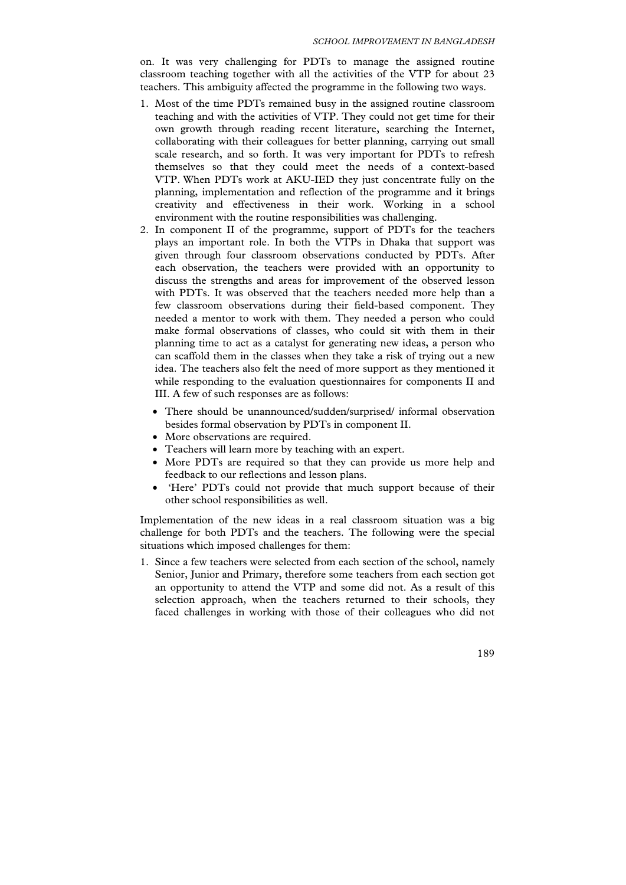on. It was very challenging for PDTs to manage the assigned routine classroom teaching together with all the activities of the VTP for about 23 teachers. This ambiguity affected the programme in the following two ways.

- 1. Most of the time PDTs remained busy in the assigned routine classroom teaching and with the activities of VTP. They could not get time for their own growth through reading recent literature, searching the Internet, collaborating with their colleagues for better planning, carrying out small scale research, and so forth. It was very important for PDTs to refresh themselves so that they could meet the needs of a context-based VTP. When PDTs work at AKU-IED they just concentrate fully on the planning, implementation and reflection of the programme and it brings creativity and effectiveness in their work. Working in a school environment with the routine responsibilities was challenging.
- 2. In component II of the programme, support of PDTs for the teachers plays an important role. In both the VTPs in Dhaka that support was given through four classroom observations conducted by PDTs. After each observation, the teachers were provided with an opportunity to discuss the strengths and areas for improvement of the observed lesson with PDTs. It was observed that the teachers needed more help than a few classroom observations during their field-based component. They needed a mentor to work with them. They needed a person who could make formal observations of classes, who could sit with them in their planning time to act as a catalyst for generating new ideas, a person who can scaffold them in the classes when they take a risk of trying out a new idea. The teachers also felt the need of more support as they mentioned it while responding to the evaluation questionnaires for components II and III. A few of such responses are as follows:
	- There should be unannounced/sudden/surprised/ informal observation besides formal observation by PDTs in component II.
	- More observations are required.
	- Teachers will learn more by teaching with an expert.
	- More PDTs are required so that they can provide us more help and feedback to our reflections and lesson plans.
	- 'Here' PDTs could not provide that much support because of their other school responsibilities as well.

Implementation of the new ideas in a real classroom situation was a big challenge for both PDTs and the teachers. The following were the special situations which imposed challenges for them:

1. Since a few teachers were selected from each section of the school, namely Senior, Junior and Primary, therefore some teachers from each section got an opportunity to attend the VTP and some did not. As a result of this selection approach, when the teachers returned to their schools, they faced challenges in working with those of their colleagues who did not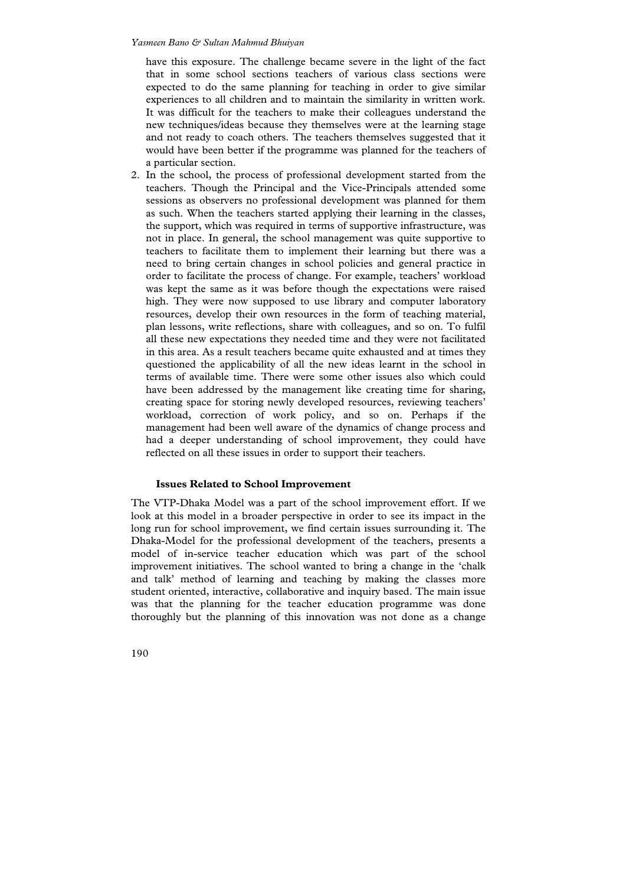have this exposure. The challenge became severe in the light of the fact that in some school sections teachers of various class sections were expected to do the same planning for teaching in order to give similar experiences to all children and to maintain the similarity in written work. It was difficult for the teachers to make their colleagues understand the new techniques/ideas because they themselves were at the learning stage and not ready to coach others. The teachers themselves suggested that it would have been better if the programme was planned for the teachers of a particular section.

2. In the school, the process of professional development started from the teachers. Though the Principal and the Vice-Principals attended some sessions as observers no professional development was planned for them as such. When the teachers started applying their learning in the classes, the support, which was required in terms of supportive infrastructure, was not in place. In general, the school management was quite supportive to teachers to facilitate them to implement their learning but there was a need to bring certain changes in school policies and general practice in order to facilitate the process of change. For example, teachers' workload was kept the same as it was before though the expectations were raised high. They were now supposed to use library and computer laboratory resources, develop their own resources in the form of teaching material, plan lessons, write reflections, share with colleagues, and so on. To fulfil all these new expectations they needed time and they were not facilitated in this area. As a result teachers became quite exhausted and at times they questioned the applicability of all the new ideas learnt in the school in terms of available time. There were some other issues also which could have been addressed by the management like creating time for sharing, creating space for storing newly developed resources, reviewing teachers' workload, correction of work policy, and so on. Perhaps if the management had been well aware of the dynamics of change process and had a deeper understanding of school improvement, they could have reflected on all these issues in order to support their teachers.

#### **Issues Related to School Improvement**

The VTP-Dhaka Model was a part of the school improvement effort. If we look at this model in a broader perspective in order to see its impact in the long run for school improvement, we find certain issues surrounding it. The Dhaka-Model for the professional development of the teachers, presents a model of in-service teacher education which was part of the school improvement initiatives. The school wanted to bring a change in the 'chalk and talk' method of learning and teaching by making the classes more student oriented, interactive, collaborative and inquiry based. The main issue was that the planning for the teacher education programme was done thoroughly but the planning of this innovation was not done as a change